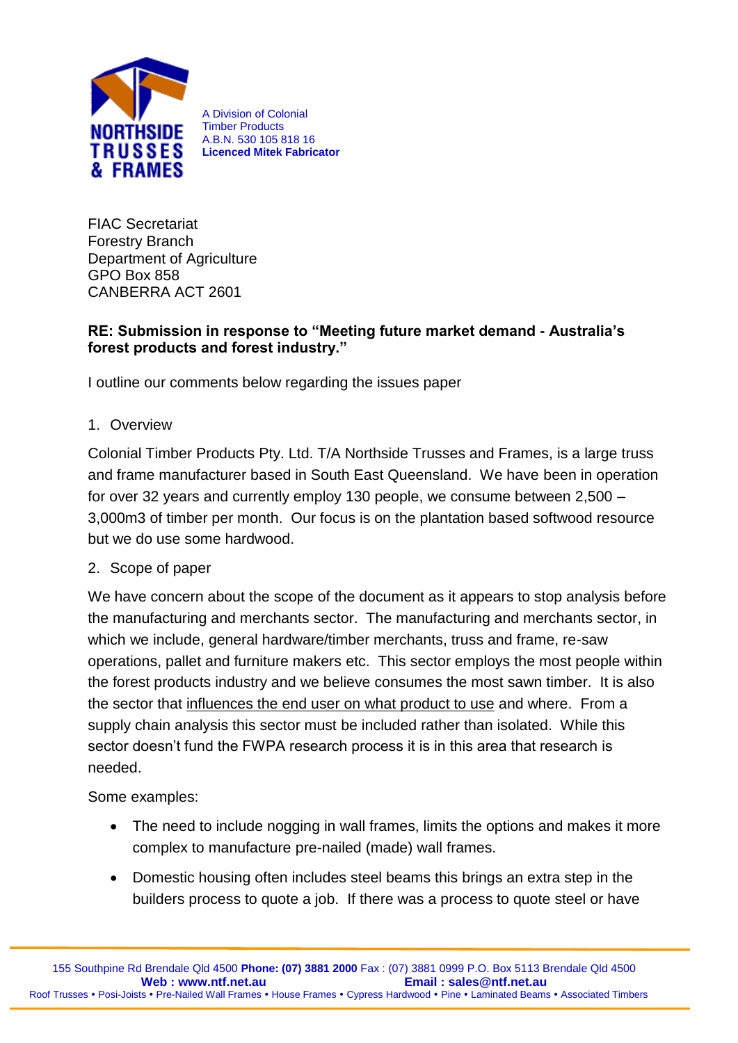

A Division of Colonial Timber Products A.B.N. 530 105 818 16 **Licenced Mitek Fabricator**

FIAC Secretariat Forestry Branch Department of Agriculture GPO Box 858 CANBERRA ACT 2601

### **RE: Submission in response to "Meeting future market demand - Australia's forest products and forest industry."**

I outline our comments below regarding the issues paper

1. Overview

Colonial Timber Products Pty. Ltd. T/A Northside Trusses and Frames, is a large truss and frame manufacturer based in South East Queensland. We have been in operation for over 32 years and currently employ 130 people, we consume between 2,500 – 3,000m3 of timber per month. Our focus is on the plantation based softwood resource but we do use some hardwood.

### 2. Scope of paper

We have concern about the scope of the document as it appears to stop analysis before the manufacturing and merchants sector. The manufacturing and merchants sector, in which we include, general hardware/timber merchants, truss and frame, re-saw operations, pallet and furniture makers etc. This sector employs the most people within the forest products industry and we believe consumes the most sawn timber. It is also the sector that influences the end user on what product to use and where. From a supply chain analysis this sector must be included rather than isolated. While this sector doesn't fund the FWPA research process it is in this area that research is needed.

Some examples:

- The need to include nogging in wall frames, limits the options and makes it more complex to manufacture pre-nailed (made) wall frames.
- Domestic housing often includes steel beams this brings an extra step in the builders process to quote a job. If there was a process to quote steel or have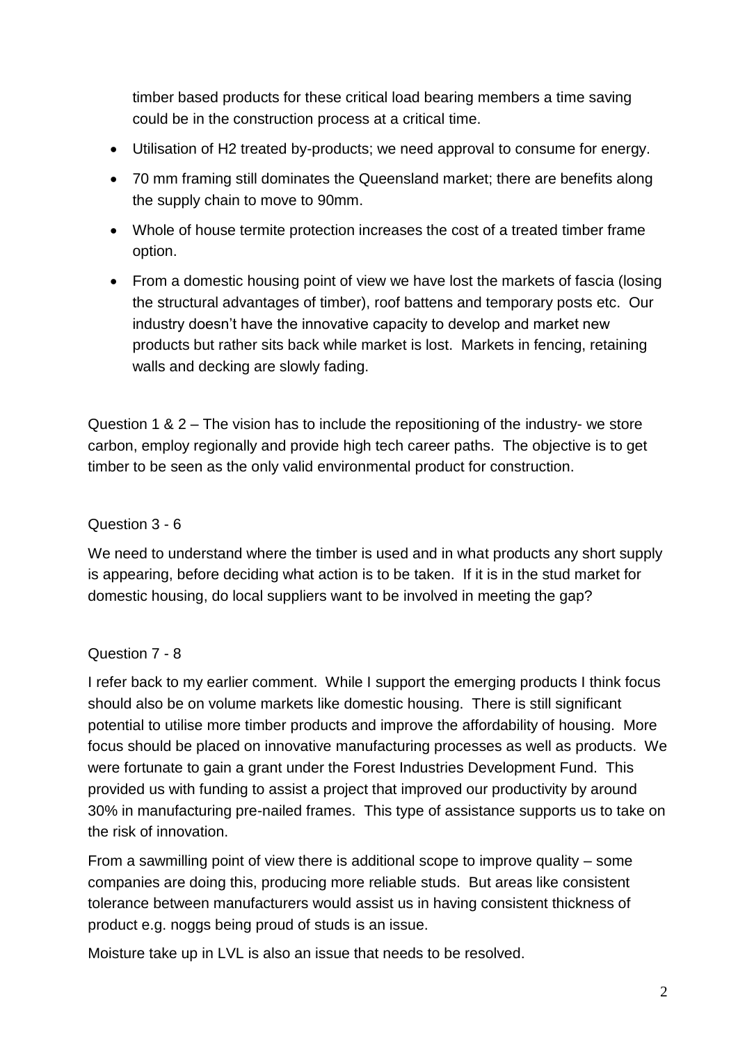timber based products for these critical load bearing members a time saving could be in the construction process at a critical time.

- Utilisation of H2 treated by-products; we need approval to consume for energy.
- 70 mm framing still dominates the Queensland market; there are benefits along the supply chain to move to 90mm.
- Whole of house termite protection increases the cost of a treated timber frame option.
- From a domestic housing point of view we have lost the markets of fascia (losing the structural advantages of timber), roof battens and temporary posts etc. Our industry doesn't have the innovative capacity to develop and market new products but rather sits back while market is lost. Markets in fencing, retaining walls and decking are slowly fading.

Question 1 & 2 – The vision has to include the repositioning of the industry- we store carbon, employ regionally and provide high tech career paths. The objective is to get timber to be seen as the only valid environmental product for construction.

### Question 3 - 6

We need to understand where the timber is used and in what products any short supply is appearing, before deciding what action is to be taken. If it is in the stud market for domestic housing, do local suppliers want to be involved in meeting the gap?

### Question 7 - 8

I refer back to my earlier comment. While I support the emerging products I think focus should also be on volume markets like domestic housing. There is still significant potential to utilise more timber products and improve the affordability of housing. More focus should be placed on innovative manufacturing processes as well as products. We were fortunate to gain a grant under the Forest Industries Development Fund. This provided us with funding to assist a project that improved our productivity by around 30% in manufacturing pre-nailed frames. This type of assistance supports us to take on the risk of innovation.

From a sawmilling point of view there is additional scope to improve quality – some companies are doing this, producing more reliable studs. But areas like consistent tolerance between manufacturers would assist us in having consistent thickness of product e.g. noggs being proud of studs is an issue.

Moisture take up in LVL is also an issue that needs to be resolved.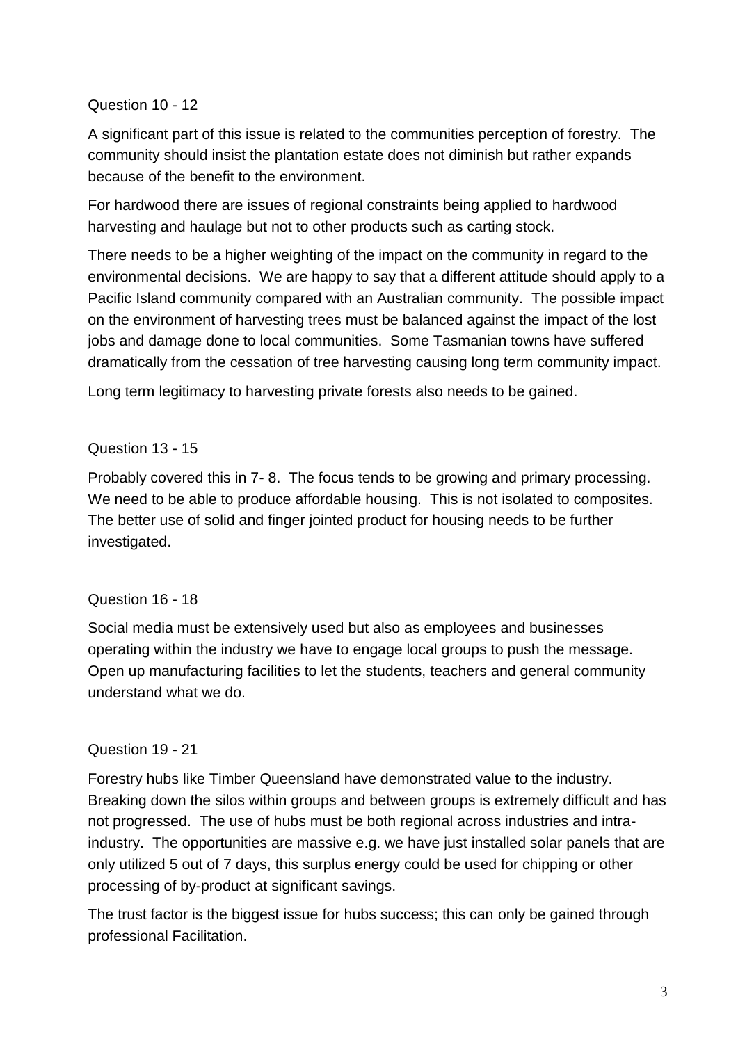## Question 10 - 12

A significant part of this issue is related to the communities perception of forestry. The community should insist the plantation estate does not diminish but rather expands because of the benefit to the environment.

For hardwood there are issues of regional constraints being applied to hardwood harvesting and haulage but not to other products such as carting stock.

There needs to be a higher weighting of the impact on the community in regard to the environmental decisions. We are happy to say that a different attitude should apply to a Pacific Island community compared with an Australian community. The possible impact on the environment of harvesting trees must be balanced against the impact of the lost jobs and damage done to local communities. Some Tasmanian towns have suffered dramatically from the cessation of tree harvesting causing long term community impact.

Long term legitimacy to harvesting private forests also needs to be gained.

### Question 13 - 15

Probably covered this in 7- 8. The focus tends to be growing and primary processing. We need to be able to produce affordable housing. This is not isolated to composites. The better use of solid and finger jointed product for housing needs to be further investigated.

### Question 16 - 18

Social media must be extensively used but also as employees and businesses operating within the industry we have to engage local groups to push the message. Open up manufacturing facilities to let the students, teachers and general community understand what we do.

### Question 19 - 21

Forestry hubs like Timber Queensland have demonstrated value to the industry. Breaking down the silos within groups and between groups is extremely difficult and has not progressed. The use of hubs must be both regional across industries and intraindustry. The opportunities are massive e.g. we have just installed solar panels that are only utilized 5 out of 7 days, this surplus energy could be used for chipping or other processing of by-product at significant savings.

The trust factor is the biggest issue for hubs success; this can only be gained through professional Facilitation.